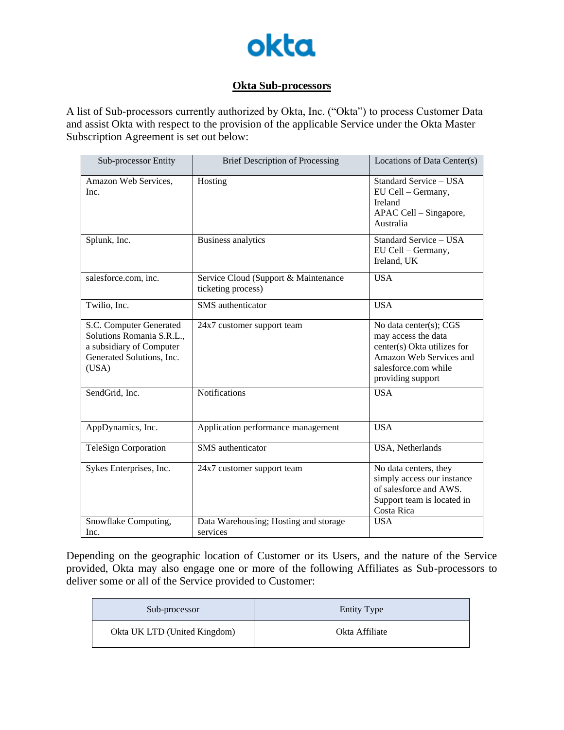

## **Okta Sub-processors**

A list of Sub-processors currently authorized by Okta, Inc. ("Okta") to process Customer Data and assist Okta with respect to the provision of the applicable Service under the Okta Master Subscription Agreement is set out below:

| Sub-processor Entity                                                                                                   | <b>Brief Description of Processing</b>                     | Locations of Data Center(s)                                                                                                                          |
|------------------------------------------------------------------------------------------------------------------------|------------------------------------------------------------|------------------------------------------------------------------------------------------------------------------------------------------------------|
| Amazon Web Services.<br>Inc.                                                                                           | Hosting                                                    | Standard Service - USA<br>EU Cell – Germany,<br>Ireland<br>APAC Cell - Singapore,<br>Australia                                                       |
| Splunk, Inc.                                                                                                           | <b>Business analytics</b>                                  | Standard Service - USA<br>EU Cell - Germany,<br>Ireland, UK                                                                                          |
| salesforce.com, inc.                                                                                                   | Service Cloud (Support & Maintenance<br>ticketing process) | <b>USA</b>                                                                                                                                           |
| Twilio, Inc.                                                                                                           | <b>SMS</b> authenticator                                   | <b>USA</b>                                                                                                                                           |
| S.C. Computer Generated<br>Solutions Romania S.R.L.,<br>a subsidiary of Computer<br>Generated Solutions, Inc.<br>(USA) | 24x7 customer support team                                 | No data center(s); CGS<br>may access the data<br>center(s) Okta utilizes for<br>Amazon Web Services and<br>salesforce.com while<br>providing support |
| SendGrid, Inc.                                                                                                         | Notifications                                              | <b>USA</b>                                                                                                                                           |
| AppDynamics, Inc.                                                                                                      | Application performance management                         | <b>USA</b>                                                                                                                                           |
| <b>TeleSign Corporation</b>                                                                                            | <b>SMS</b> authenticator                                   | USA, Netherlands                                                                                                                                     |
| Sykes Enterprises, Inc.                                                                                                | 24x7 customer support team                                 | No data centers, they<br>simply access our instance<br>of salesforce and AWS.<br>Support team is located in<br>Costa Rica                            |
| Snowflake Computing,<br>Inc.                                                                                           | Data Warehousing; Hosting and storage<br>services          | <b>USA</b>                                                                                                                                           |

Depending on the geographic location of Customer or its Users, and the nature of the Service provided, Okta may also engage one or more of the following Affiliates as Sub-processors to deliver some or all of the Service provided to Customer:

| Sub-processor                | <b>Entity Type</b> |
|------------------------------|--------------------|
| Okta UK LTD (United Kingdom) | Okta Affiliate     |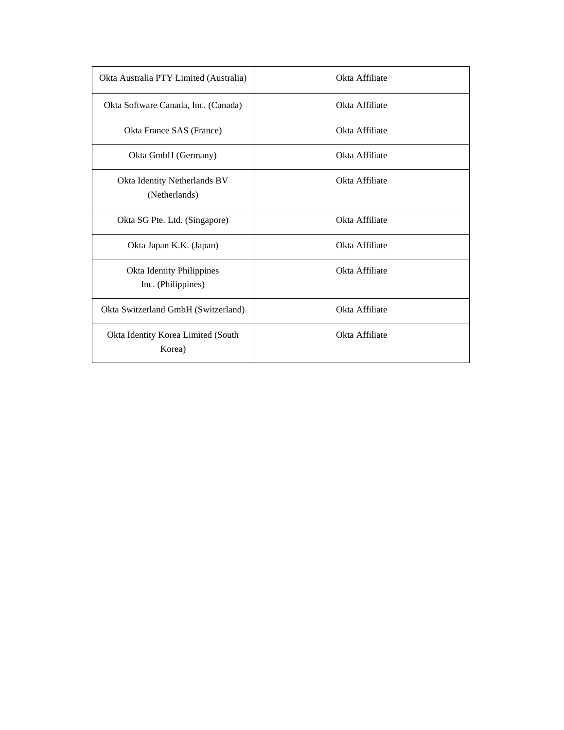| Okta Australia PTY Limited (Australia)          | Okta Affiliate |
|-------------------------------------------------|----------------|
| Okta Software Canada, Inc. (Canada)             | Okta Affiliate |
| Okta France SAS (France)                        | Okta Affiliate |
| Okta GmbH (Germany)                             | Okta Affiliate |
| Okta Identity Netherlands BV<br>(Netherlands)   | Okta Affiliate |
| Okta SG Pte. Ltd. (Singapore)                   | Okta Affiliate |
| Okta Japan K.K. (Japan)                         | Okta Affiliate |
| Okta Identity Philippines<br>Inc. (Philippines) | Okta Affiliate |
| Okta Switzerland GmbH (Switzerland)             | Okta Affiliate |
| Okta Identity Korea Limited (South<br>Korea)    | Okta Affiliate |